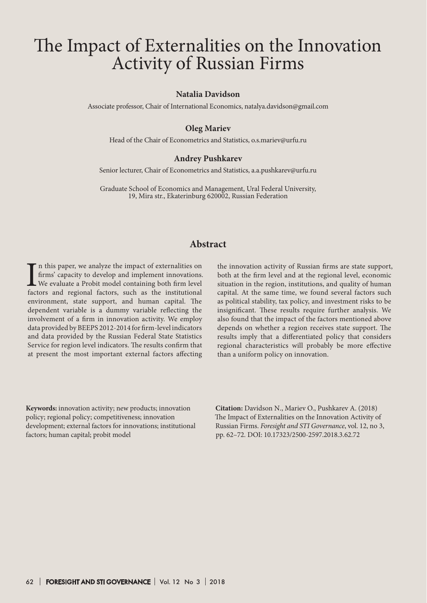# The Impact of Externalities on the Innovation Activity of Russian Firms

#### **Natalia Davidson**

Associate professor, Chair of International Economics, natalya.davidson@gmail.com

#### **Oleg Mariev**

Head of the Chair of Econometrics and Statistics, o.s.mariev@urfu.ru

#### **Andrey Pushkarev**

Senior lecturer, Chair of Econometrics and Statistics, a.a.pushkarev@urfu.ru

Graduate School of Economics and Management, Ural Federal University, 19, Mira str., Ekaterinburg 620002, Russian Federation

## **Abstract**

I<br>fact n this paper, we analyze the impact of externalities on firms' capacity to develop and implement innovations. We evaluate a Probit model containing both firm level factors and regional factors, such as the institutional environment, state support, and human capital. The dependent variable is a dummy variable reflecting the involvement of a firm in innovation activity. We employ data provided by BEEPS 2012-2014 for firm-level indicators and data provided by the Russian Federal State Statistics Service for region level indicators. The results confirm that at present the most important external factors affecting

the innovation activity of Russian firms are state support, both at the firm level and at the regional level, economic situation in the region, institutions, and quality of human capital. At the same time, we found several factors such as political stability, tax policy, and investment risks to be insignificant. These results require further analysis. We also found that the impact of the factors mentioned above depends on whether a region receives state support. The results imply that a differentiated policy that considers regional characteristics will probably be more effective than a uniform policy on innovation.

**Keywords:** innovation activity; new products; innovation policy; regional policy; competitiveness; innovation development; external factors for innovations; institutional factors; human capital; probit model

**Citation:** Davidson N., Mariev O., Pushkarev A. (2018) The Impact of Externalities on the Innovation Activity of Russian Firms. *Foresight and STI Governance*, vol. 12, no 3, pp. 62–72. DOI: 10.17323/2500-2597.2018.3.62.72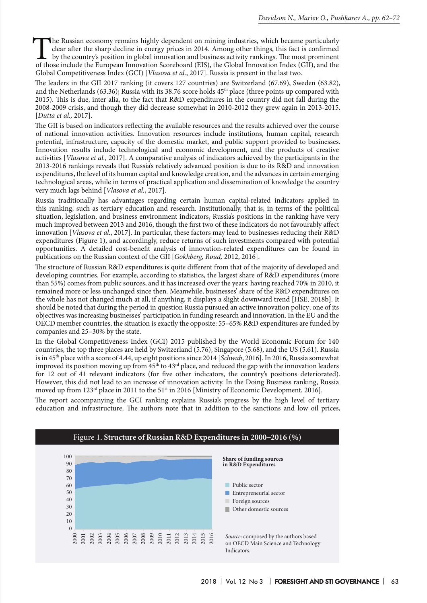The Russian economy remains highly dependent on mining industries, which became particularly clear after the sharp decline in energy prices in 2014. Among other things, this fact is confirmed by the country's position in g clear after the sharp decline in energy prices in 2014. Among other things, this fact is confirmed by the country's position in global innovation and business activity rankings. The most prominent of those include the European Innovation Scoreboard (EIS), the Global Innovation Index (GII), and the Global Competitiveness Index (GCI) [*Vlasova et al.*, 2017]. Russia is present in the last two.

The leaders in the GII 2017 ranking (it covers 127 countries) are Switzerland (67.69), Sweden (63.82), and the Netherlands (63.36); Russia with its 38.76 score holds 45<sup>th</sup> place (three points up compared with 2015). This is due, inter alia, to the fact that R&D expenditures in the country did not fall during the 2008-2009 crisis, and though they did decrease somewhat in 2010-2012 they grew again in 2013-2015. [*Dutta et al.,* 2017].

The GII is based on indicators reflecting the available resources and the results achieved over the course of national innovation activities. Innovation resources include institutions, human capital, research potential, infrastructure, capacity of the domestic market, and public support provided to businesses. Innovation results include technological and economic development, and the products of creative activities [*Vlasova et al.*, 2017]. A comparative analysis of indicators achieved by the participants in the 2013-2016 rankings reveals that Russia's relatively advanced position is due to its R&D and innovation expenditures, the level of its human capital and knowledge creation, and the advances in certain emerging technological areas, while in terms of practical application and dissemination of knowledge the country very much lags behind [*Vlasova et al.*, 2017].

Russia traditionally has advantages regarding certain human capital-related indicators applied in this ranking, such as tertiary education and research. Institutionally, that is, in terms of the political situation, legislation, and business environment indicators, Russia's positions in the ranking have very much improved between 2013 and 2016, though the first two of these indicators do not favourably affect innovation [*Vlasova et al.*, 2017]. In particular, these factors may lead to businesses reducing their R&D expenditures (Figure 1), and accordingly, reduce returns of such investments compared with potential opportunities. A detailed cost-benefit analysis of innovation-related expenditures can be found in publications on the Russian context of the GII [*Gokhberg, Roud,* 2012, 2016].

The structure of Russian R&D expenditures is quite different from that of the majority of developed and developing countries. For example, according to statistics, the largest share of R&D expenditures (more than 55%) comes from public sources, and it has increased over the years: having reached 70% in 2010, it remained more or less unchanged since then. Meanwhile, businesses' share of the R&D expenditures on the whole has not changed much at all, if anything, it displays a slight downward trend [HSE, 2018b]. It should be noted that during the period in question Russia pursued an active innovation policy; one of its objectives was increasing businesses' participation in funding research and innovation. In the EU and the OECD member countries, the situation is exactly the opposite: 55–65% R&D expenditures are funded by companies and 25–30% by the state.

In the Global Competitiveness Index (GCI) 2015 published by the World Economic Forum for 140 countries, the top three places are held by Switzerland (5.76), Singapore (5.68), and the US (5.61). Russia is in 45th place with a score of 4.44, up eight positions since 2014 [*Schwab*, 2016]. In 2016, Russia somewhat improved its position moving up from  $45<sup>th</sup>$  to  $43<sup>rd</sup>$  place, and reduced the gap with the innovation leaders for 12 out of 41 relevant indicators (for five other indicators, the country's positions deteriorated). However, this did not lead to an increase of innovation activity. In the Doing Business ranking, Russia moved up from 123<sup>rd</sup> place in 2011 to the 51<sup>st</sup> in 2016 [Ministry of Economic Development, 2016].

The report accompanying the GCI ranking explains Russia's progress by the high level of tertiary education and infrastructure. The authors note that in addition to the sanctions and low oil prices,

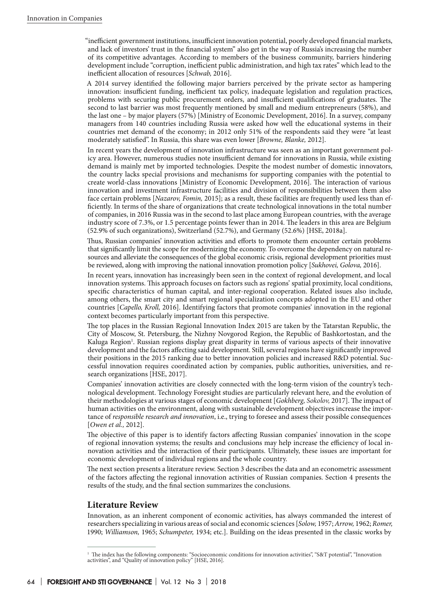"inefficient government institutions, insufficient innovation potential, poorly developed financial markets, and lack of investors' trust in the financial system" also get in the way of Russia's increasing the number of its competitive advantages. According to members of the business community, barriers hindering development include "corruption, inefficient public administration, and high tax rates" which lead to the inefficient allocation of resources [*Schwab,* 2016].

A 2014 survey identified the following major barriers perceived by the private sector as hampering innovation: insufficient funding, inefficient tax policy, inadequate legislation and regulation practices, problems with securing public procurement orders, and insufficient qualifications of graduates. The second to last barrier was most frequently mentioned by small and medium entrepreneurs (58%), and the last one – by major players (57%) [Ministry of Economic Development, 2016]. In a survey, company managers from 140 countries including Russia were asked how well the educational systems in their countries met demand of the economy; in 2012 only 51% of the respondents said they were "at least moderately satisfied". In Russia, this share was even lower [*Browne, Blanke,* 2012].

In recent years the development of innovation infrastructure was seen as an important government policy area. However, numerous studies note insufficient demand for innovations in Russia, while existing demand is mainly met by imported technologies. Despite the modest number of domestic innovators, the country lacks special provisions and mechanisms for supporting companies with the potential to create world-class innovations [Ministry of Economic Development, 2016]. The interaction of various innovation and investment infrastructure facilities and division of responsibilities between them also face certain problems [*Nazarov, Fomin,* 2015]; as a result, these facilities are frequently used less than efficiently. In terms of the share of organizations that create technological innovations in the total number of companies, in 2016 Russia was in the second to last place among European countries, with the average industry score of 7.3%, or 1.5 percentage points fewer than in 2014. The leaders in this area are Belgium (52.9% of such organizations), Switzerland (52.7%), and Germany (52.6%) [HSE, 2018a].

Thus, Russian companies' innovation activities and efforts to promote them encounter certain problems that significantly limit the scope for modernizing the economy. To overcome the dependency on natural resources and alleviate the consequences of the global economic crisis, regional development priorities must be reviewed, along with improving the national innovation promotion policy [*Sukhovei, Golova,* 2016].

In recent years, innovation has increasingly been seen in the context of regional development, and local innovation systems. This approach focuses on factors such as regions' spatial proximity, local conditions, specific characteristics of human capital, and inter-regional cooperation. Related issues also include, among others, the smart city and smart regional specialization concepts adopted in the EU and other countries [*Capello, Kroll,* 2016]. Identifying factors that promote companies' innovation in the regional context becomes particularly important from this perspective.

The top places in the Russian Regional Innovation Index 2015 are taken by the Tatarstan Republic, the City of Moscow, St. Petersburg, the Nizhny Novgorod Region, the Republic of Bashkortostan, and the Kaluga Region<sup>1</sup>. Russian regions display great disparity in terms of various aspects of their innovative development and the factors affecting said development. Still, several regions have significantly improved their positions in the 2015 ranking due to better innovation policies and increased R&D potential. Successful innovation requires coordinated action by companies, public authorities, universities, and research organizations [HSE, 2017].

Companies' innovation activities are closely connected with the long-term vision of the country's technological development. Technology Foresight studies are particularly relevant here, and the evolution of their methodologies at various stages of economic development [*Gokhberg, Sokolov,* 2017]. The impact of human activities on the environment, along with sustainable development objectives increase the importance of *responsible research and innovation*, i.e., trying to foresee and assess their possible consequences [*Owen et al.,* 2012].

The objective of this paper is to identify factors affecting Russian companies' innovation in the scope of regional innovation systems; the results and conclusions may help increase the efficiency of local innovation activities and the interaction of their participants. Ultimately, these issues are important for economic development of individual regions and the whole country.

The next section presents a literature review. Section 3 describes the data and an econometric assessment of the factors affecting the regional innovation activities of Russian companies. Section 4 presents the results of the study, and the final section summarizes the conclusions.

## **Literature Review**

Innovation, as an inherent component of economic activities, has always commanded the interest of researchers specializing in various areas of social and economic sciences [*Solow,* 1957; *Arrow,* 1962; *Romer,* 1990; *Williamson,* 1965; *Schumpeter,* 1934; etc.]. Building on the ideas presented in the classic works by

<sup>&</sup>lt;sup>1</sup> The index has the following components: "Socioeconomic conditions for innovation activities", "S&T potential", "Innovation activities", and "Quality of innovation policy" [HSE, 2016].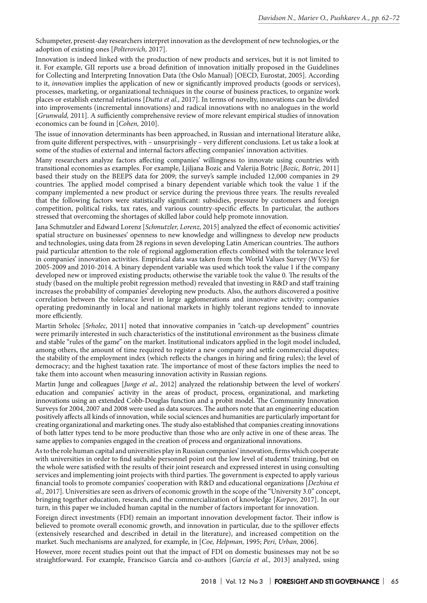Schumpeter, present-day researchers interpret innovation as the development of new technologies, or the adoption of existing ones [*Polterovich,* 2017].

Innovation is indeed linked with the production of new products and services, but it is not limited to it. For example, GII reports use a broad definition of innovation initially proposed in the Guidelines for Collecting and Interpreting Innovation Data (the Oslo Manual) [OECD, Eurostat, 2005]. According to it, *innovation* implies the application of new or significantly improved products (goods or services), processes, marketing, or organizational techniques in the course of business practices, to organize work places or establish external relations [*Dutta et al.,* 2017]. In terms of novelty, innovations can be divided into improvements (incremental innovations) and radical innovations with no analogues in the world [*Grunwald,* 2011]. A sufficiently comprehensive review of more relevant empirical studies of innovation economics can be found in [*Cohen,* 2010].

The issue of innovation determinants has been approached, in Russian and international literature alike, from quite different perspectives, with – unsurprisingly – very different conclusions. Let us take a look at some of the studies of external and internal factors affecting companies' innovation activities.

Many researchers analyze factors affecting companies' willingness to innovate using countries with transitional economies as examples. For example, Ljiljana Bozic and Valerija Botric [*Bozic, Botric,* 2011] based their study on the BEEPS data for 2009; the survey's sample included 12,000 companies in 29 countries. The applied model comprised a binary dependent variable which took the value 1 if the company implemented a new product or service during the previous three years. The results revealed that the following factors were statistically significant: subsidies, pressure by customers and foreign competition, political risks, tax rates, and various country-specific effects. In particular, the authors stressed that overcoming the shortages of skilled labor could help promote innovation.

Jana Schmutzler and Edward Lorenz [*Schmutzler, Lorenz,* 2015] analyzed the effect of economic activities' spatial structure on businesses' openness to new knowledge and willingness to develop new products and technologies, using data from 28 regions in seven developing Latin American countries. The authors paid particular attention to the role of regional agglomeration effects combined with the tolerance level in companies' innovation activities. Empirical data was taken from the World Values Survey (WVS) for 2005-2009 and 2010-2014. A binary dependent variable was used which took the value 1 if the company developed new or improved existing products; otherwise the variable took the value 0. The results of the study (based on the multiple probit regression method) revealed that investing in R&D and staff training increases the probability of companies' developing new products. Also, the authors discovered a positive correlation between the tolerance level in large agglomerations and innovative activity; companies operating predominantly in local and national markets in highly tolerant regions tended to innovate more efficiently.

Martin Srholec [*Srholec,* 2011] noted that innovative companies in "catch-up development" countries were primarily interested in such characteristics of the institutional environment as the business climate and stable "rules of the game" on the market. Institutional indicators applied in the logit model included, among others, the amount of time required to register a new company and settle commercial disputes; the stability of the employment index (which reflects the changes in hiring and firing rules); the level of democracy; and the highest taxation rate. The importance of most of these factors implies the need to take them into account when measuring innovation activity in Russian regions.

Martin Junge and colleagues [*Junge et al.,* 2012] analyzed the relationship between the level of workers' education and companies' activity in the areas of product, process, organizational, and marketing innovations using an extended Cobb-Douglas function and a probit model. The Community Innovation Surveys for 2004, 2007 and 2008 were used as data sources. The authors note that an engineering education positively affects all kinds of innovation, while social sciences and humanities are particularly important for creating organizational and marketing ones. The study also established that companies creating innovations of both latter types tend to be more productive than those who are only active in one of these areas. The same applies to companies engaged in the creation of process and organizational innovations.

As to the role human capital and universities play in Russian companies' innovation, firms which cooperate with universities in order to find suitable personnel point out the low level of students' training, but on the whole were satisfied with the results of their joint research and expressed interest in using consulting services and implementing joint projects with third parties. The government is expected to apply various financial tools to promote companies' cooperation with R&D and educational organizations [*Dezhina et al.,* 2017]. Universities are seen as drivers of economic growth in the scope of the "University 3.0" concept, bringing together education, research, and the commercialization of knowledge [*Karpov,* 2017]. In our turn, in this paper we included human capital in the number of factors important for innovation.

Foreign direct investments (FDI) remain an important innovation development factor. Their inflow is believed to promote overall economic growth, and innovation in particular, due to the spillover effects (extensively researched and described in detail in the literature), and increased competition on the market. Such mechanisms are analyzed, for example, in [*Coe, Helpman,* 1995; *Peri, Urban,* 2006].

However, more recent studies point out that the impact of FDI on domestic businesses may not be so straightforward. For example, Francisco García and co-authors [*García et al.,* 2013] analyzed, using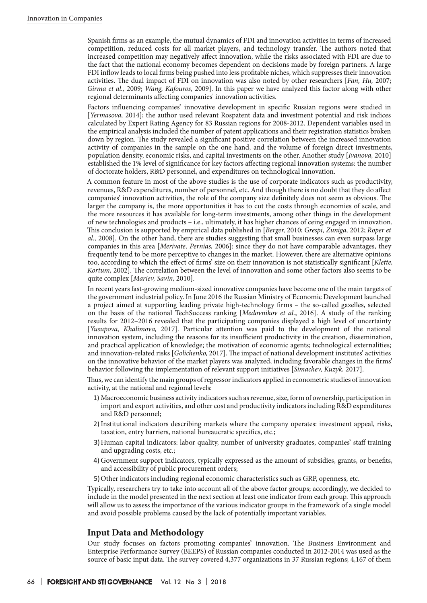Spanish firms as an example, the mutual dynamics of FDI and innovation activities in terms of increased competition, reduced costs for all market players, and technology transfer. The authors noted that increased competition may negatively affect innovation, while the risks associated with FDI are due to the fact that the national economy becomes dependent on decisions made by foreign partners. A large FDI inflow leads to local firms being pushed into less profitable niches, which suppresses their innovation activities. The dual impact of FDI on innovation was also noted by other researchers [*Fan, Hu,* 2007; *Girma et al.,* 2009; *Wang, Kafouros,* 2009]. In this paper we have analyzed this factor along with other regional determinants affecting companies' innovation activities.

Factors influencing companies' innovative development in specific Russian regions were studied in [*Yermasova,* 2014]; the author used relevant Rospatent data and investment potential and risk indices calculated by Expert Rating Agency for 83 Russian regions for 2008-2012. Dependent variables used in the empirical analysis included the number of patent applications and their registration statistics broken down by region. The study revealed a significant positive correlation between the increased innovation activity of companies in the sample on the one hand, and the volume of foreign direct investments, population density, economic risks, and capital investments on the other. Another study [*Ivanova,* 2010] established the 1% level of significance for key factors affecting regional innovation systems: the number of doctorate holders, R&D personnel, and expenditures on technological innovation.

A common feature in most of the above studies is the use of corporate indicators such as productivity, revenues, R&D expenditures, number of personnel, etc. And though there is no doubt that they do affect companies' innovation activities, the role of the company size definitely does not seem as obvious. The larger the company is, the more opportunities it has to cut the costs through economies of scale, and the more resources it has available for long-term investments, among other things in the development of new technologies and products – i.e., ultimately, it has higher chances of ceing engaged in innovation. This conclusion is supported by empirical data published in [*Berger,* 2010; *Grespi, Zuniga,* 2012; *Roper et al.,* 2008]. On the other hand, there are studies suggesting that small businesses can even surpass large companies in this area [*Merivate, Pernias,* 2006]: since they do not have comparable advantages, they frequently tend to be more perceptive to changes in the market. However, there are alternative opinions too, according to which the effect of firms' size on their innovation is not statistically significant [*Klette, Kortum,* 2002]. The correlation between the level of innovation and some other factors also seems to be quite complex [*Mariev, Savin,* 2010].

In recent years fast-growing medium-sized innovative companies have become one of the main targets of the government industrial policy. In June 2016 the Russian Ministry of Economic Development launched a project aimed at supporting leading private high-technology firms – the so-called gazelles, selected on the basis of the national TechSuccess ranking [*Medovnikov et al.*, 2016]. A study of the ranking results for 2012–2016 revealed that the participating companies displayed a high level of uncertainty [*Yusupova, Khalimova,* 2017]. Particular attention was paid to the development of the national innovation system, including the reasons for its insufficient productivity in the creation, dissemination, and practical application of knowledge; the motivation of economic agents; technological externalities; and innovation-related risks [*Golichenko,* 2017]. The impact of national development institutes' activities on the innovative behavior of the market players was analyzed, including favorable changes in the firms' behavior following the implementation of relevant support initiatives [*Simachev, Kuzyk,* 2017].

Thus, we can identify the main groups of regressor indicators applied in econometric studies of innovation activity, at the national and regional levels:

- 1) Macroeconomic business activity indicators such as revenue, size, form of ownership, participation in import and export activities, and other cost and productivity indicators including R&D expenditures and R&D personnel;
- 2) Institutional indicators describing markets where the company operates: investment appeal, risks, taxation, entry barriers, national bureaucratic specifics, etc.;
- 3)Human capital indicators: labor quality, number of university graduates, companies' staff training and upgrading costs, etc.;
- 4) Government support indicators, typically expressed as the amount of subsidies, grants, or benefits, and accessibility of public procurement orders;
- 5)Other indicators including regional economic characteristics such as GRP, openness, etc.

Typically, researchers try to take into account all of the above factor groups; accordingly, we decided to include in the model presented in the next section at least one indicator from each group. This approach will allow us to assess the importance of the various indicator groups in the framework of a single model and avoid possible problems caused by the lack of potentially important variables.

## **Input Data and Methodology**

Our study focuses on factors promoting companies' innovation. The Business Environment and Enterprise Performance Survey (BEEPS) of Russian companies conducted in 2012-2014 was used as the source of basic input data. The survey covered 4,377 organizations in 37 Russian regions; 4,167 of them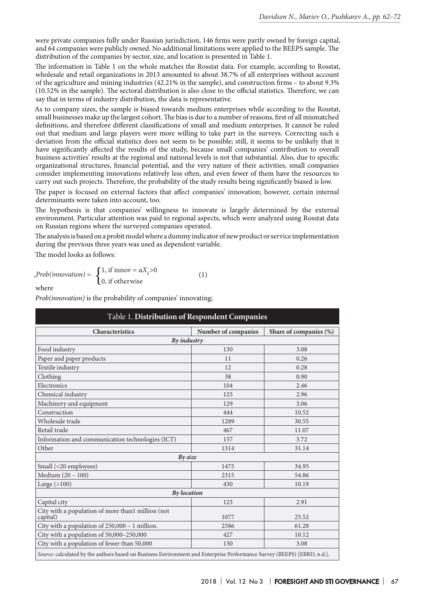were private companies fully under Russian jurisdiction, 146 firms were partly owned by foreign capital, and 64 companies were publicly owned. No additional limitations were applied to the BEEPS sample. The distribution of the companies by sector, size, and location is presented in Table 1.

The information in Table 1 on the whole matches the Rosstat data. For example, according to Rosstat, wholesale and retail organizations in 2013 amounted to about 38.7% of all enterprises without account of the agriculture and mining industries (42.21% in the sample), and construction firms – to about 9.3% (10.52% in the sample). The sectoral distribution is also close to the official statistics. Therefore, we can say that in terms of industry distribution, the data is representative.

As to company sizes, the sample is biased towards medium enterprises while according to the Rosstat, small businesses make up the largest cohort. The bias is due to a number of reasons, first of all mismatched definitions, and therefore different classifications of small and medium enterprises. It cannot be ruled out that medium and large players were more willing to take part in the surveys. Correcting such a deviation from the official statistics does not seem to be possible; still, it seems to be unlikely that it have significantly affected the results of the study, because small companies' contribution to overall business activities' results at the regional and national levels is not that substantial. Also, due to specific organizational structures, financial potential, and the very nature of their activities, small companies consider implementing innovations relatively less often, and even fewer of them have the resources to carry out such projects. Therefore, the probability of the study results being significantly biased is low.

The paper is focused on external factors that affect companies' innovation; however, certain internal determinants were taken into account, too.

The hypothesis is that companies' willingness to innovate is largely determined by the external environment. Particular attention was paid to regional aspects, which were analyzed using Rosstat data on Russian regions where the surveyed companies operated.

The analysis is based on a probit model where a dummy indicator of new product or service implementation during the previous three years was used as dependent variable.

The model looks as follows:

$$
, Prob(innovation) = \begin{cases} 1, \text{ if } \text{innov} = \alpha X_{ij} > 0 \\ 0, \text{ if } \text{otherwise} \end{cases} \tag{1}
$$

where

*Prob(innovation)* is the probability of companies' innovating;

| Characteristics                                               | Number of companies | Share of companies (%) |
|---------------------------------------------------------------|---------------------|------------------------|
|                                                               | By industry         |                        |
| Food industry                                                 | 130                 | 3.08                   |
| Paper and paper products                                      | 11                  | 0.26                   |
| Textile industry                                              | 12                  | 0.28                   |
| Clothing                                                      | 38                  | 0.90                   |
| Electronics                                                   | 104                 | 2.46                   |
| Chemical industry                                             | 125                 | 2.96                   |
| Machinery and equipment                                       | 129                 | 3.06                   |
| Construction                                                  | 444                 | 10.52                  |
| Wholesale trade                                               | 1289                | 30.55                  |
| Retail trade                                                  | 467                 | 11.07                  |
| Information and communication technologies (ICT)              | 157                 | 3.72                   |
| Other                                                         | 1314                | 31.14                  |
|                                                               | $Bv$ size           |                        |
| Small (<20 employees)                                         | 1475                | 34.95                  |
| Medium (20 - 100)                                             | 2315                | 54.86                  |
| Large $(>100)$                                                | 430                 | 10.19                  |
|                                                               | <b>By</b> location  |                        |
| Capital city                                                  | 123                 | 2.91                   |
| City with a population of more than1 million (not<br>capital) | 1077                | 25.52                  |
| City with a population of $250,000 - 1$ million.              | 2586                | 61.28                  |
| City with a population of 50,000-250,000                      | 427                 | 10.12                  |
| City with a population of fewer than 50,000                   | 130                 | 3.08                   |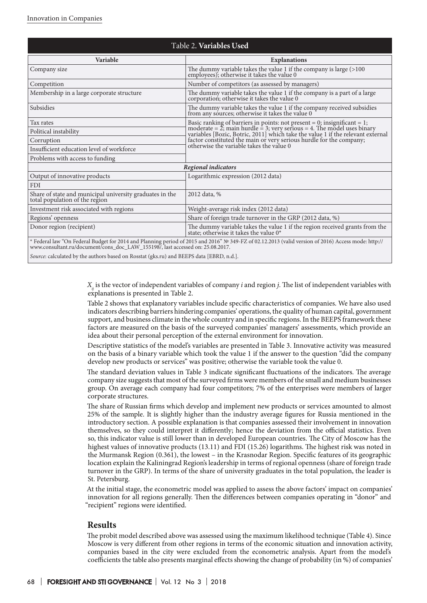| Table 2. Variables Used                                                                                                                             |                                                                                                                                                                                                                                     |  |  |  |
|-----------------------------------------------------------------------------------------------------------------------------------------------------|-------------------------------------------------------------------------------------------------------------------------------------------------------------------------------------------------------------------------------------|--|--|--|
| Variable                                                                                                                                            | <b>Explanations</b>                                                                                                                                                                                                                 |  |  |  |
| Company size                                                                                                                                        | The dummy variable takes the value 1 if the company is large $(>100$ employees); otherwise it takes the value 0                                                                                                                     |  |  |  |
| Competition                                                                                                                                         | Number of competitors (as assessed by managers)                                                                                                                                                                                     |  |  |  |
| Membership in a large corporate structure                                                                                                           | The dummy variable takes the value 1 if the company is a part of a large<br>corporation; otherwise it takes the value 0                                                                                                             |  |  |  |
| Subsidies                                                                                                                                           | The dummy variable takes the value 1 if the company received subsidies<br>from any sources; otherwise it takes the value 0                                                                                                          |  |  |  |
| Tax rates                                                                                                                                           |                                                                                                                                                                                                                                     |  |  |  |
| Political instability                                                                                                                               | Basic ranking of barriers in points: not present = 0; insignificant = 1;<br>moderate = 2; main hurdle = 3; very serious = 4. The model uses binary<br>variables [Bozic, Botric, 2011] which take the value 1 if the relevant extern |  |  |  |
| Corruption                                                                                                                                          | factor constituted the main or very serious hurdle for the company;                                                                                                                                                                 |  |  |  |
| Insufficient education level of workforce                                                                                                           | otherwise the variable takes the value 0                                                                                                                                                                                            |  |  |  |
| Problems with access to funding                                                                                                                     |                                                                                                                                                                                                                                     |  |  |  |
| Regional indicators                                                                                                                                 |                                                                                                                                                                                                                                     |  |  |  |
| Output of innovative products                                                                                                                       | Logarithmic expression (2012 data)                                                                                                                                                                                                  |  |  |  |
| <b>FDI</b>                                                                                                                                          |                                                                                                                                                                                                                                     |  |  |  |
| Share of state and municipal university graduates in the<br>total population of the region                                                          | 2012 data, %                                                                                                                                                                                                                        |  |  |  |
| Investment risk associated with regions                                                                                                             | Weight-average risk index (2012 data)                                                                                                                                                                                               |  |  |  |
| Regions' openness                                                                                                                                   | Share of foreign trade turnover in the GRP (2012 data, %)                                                                                                                                                                           |  |  |  |
| Donor region (recipient)                                                                                                                            | The dummy variable takes the value 1 if the region received grants from the state; otherwise it takes the value $0^*$                                                                                                               |  |  |  |
| * Federal law "On Federal Budget for 2014 and Planning period of 2015 and 2016" № 349-FZ of 02.12.2013 (valid version of 2016) Access mode: http:// |                                                                                                                                                                                                                                     |  |  |  |

\* Federal law "On Federal Budget for 2014 and Planning period of 2015 and 2016" № 349-FZ of 02.12.2013 (valid version of 2016) Access mode: http:// www.consultant.ru/document/cons\_doc\_LAW\_155198/, last accessed on: 25.08.2017.

*Source*: calculated by the authors based on Rosstat (gks.ru) and BEEPS data [EBRD, n.d.].

*Xij* is the vector of independent variables of company *i* and region *j*. The list of independent variables with explanations is presented in Table 2.

Table 2 shows that explanatory variables include specific characteristics of companies. We have also used indicators describing barriers hindering companies' operations, the quality of human capital, government support, and business climate in the whole country and in specific regions. In the BEEPS framework these factors are measured on the basis of the surveyed companies' managers' assessments, which provide an idea about their personal perception of the external environment for innovation.

Descriptive statistics of the model's variables are presented in Table 3. Innovative activity was measured on the basis of a binary variable which took the value 1 if the answer to the question "did the company develop new products or services" was positive; otherwise the variable took the value 0.

The standard deviation values in Table 3 indicate significant fluctuations of the indicators. The average company size suggests that most of the surveyed firms were members of the small and medium businesses group. On average each company had four competitors; 7% of the enterprises were members of larger corporate structures.

The share of Russian firms which develop and implement new products or services amounted to almost 25% of the sample. It is slightly higher than the industry average figures for Russia mentioned in the introductory section. A possible explanation is that companies assessed their involvement in innovation themselves, so they could interpret it differently; hence the deviation from the official statistics. Even so, this indicator value is still lower than in developed European countries. The City of Moscow has the highest values of innovative products (13.11) and FDI (15.26) logarithms. The highest risk was noted in the Murmansk Region (0.361), the lowest – in the Krasnodar Region. Specific features of its geographic location explain the Kaliningrad Region's leadership in terms of regional openness (share of foreign trade turnover in the GRP). In terms of the share of university graduates in the total population, the leader is St. Petersburg.

At the initial stage, the econometric model was applied to assess the above factors' impact on companies' innovation for all regions generally. Then the differences between companies operating in "donor" and "recipient" regions were identified.

## **Results**

The probit model described above was assessed using the maximum likelihood technique (Table 4). Since Moscow is very different from other regions in terms of the economic situation and innovation activity, companies based in the city were excluded from the econometric analysis. Apart from the model's coefficients the table also presents marginal effects showing the change of probability (in %) of companies'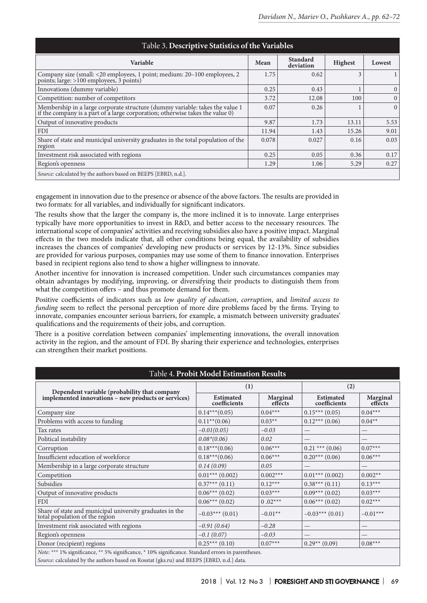| Table 3. Descriptive Statistics of the Variables                                                                                                              |       |                              |                |              |  |
|---------------------------------------------------------------------------------------------------------------------------------------------------------------|-------|------------------------------|----------------|--------------|--|
| <b>Variable</b>                                                                                                                                               | Mean  | <b>Standard</b><br>deviation | <b>Highest</b> | Lowest       |  |
| Company size (small: <20 employees, 1 point; medium: 20–100 employees, 2 points; large: >100 employees, 3 points)                                             | 1.75  | 0.62                         | 3              |              |  |
| Innovations (dummy variable)                                                                                                                                  | 0.25  | 0.43                         |                | $\mathbf{0}$ |  |
| Competition: number of competitors                                                                                                                            | 3.72  | 12.08                        | 100            | $\Omega$     |  |
| Membership in a large corporate structure (dummy variable: takes the value $1$ if the company is a part of a large corporation; otherwise takes the value $0$ | 0.07  | 0.26                         |                | $\Omega$     |  |
| Output of innovative products                                                                                                                                 | 9.87  | 1.73                         | 13.11          | 5.53         |  |
| <b>FDI</b>                                                                                                                                                    | 11.94 | 1.43                         | 15.26          | 9.01         |  |
| Share of state and municipal university graduates in the total population of the<br>region                                                                    | 0.078 | 0.027                        | 0.16           | 0.03         |  |
| Investment risk associated with regions                                                                                                                       | 0.25  | 0.05                         | 0.36           | 0.17         |  |
| Region's openness                                                                                                                                             | 1.29  | 1.06                         | 5.29           | 0.27         |  |
| Source: calculated by the authors based on BEEPS [EBRD, n.d.].                                                                                                |       |                              |                |              |  |

engagement in innovation due to the presence or absence of the above factors. The results are provided in two formats: for all variables, and individually for significant indicators.

The results show that the larger the company is, the more inclined it is to innovate. Large enterprises typically have more opportunities to invest in R&D, and better access to the necessary resources. The international scope of companies' activities and receiving subsidies also have a positive impact. Marginal effects in the two models indicate that, all other conditions being equal, the availability of subsidies increases the chances of companies' developing new products or services by 12-13%. Since subsidies are provided for various purposes, companies may use some of them to finance innovation. Enterprises based in recipient regions also tend to show a higher willingness to innovate.

Another incentive for innovation is increased competition. Under such circumstances companies may obtain advantages by modifying, improving, or diversifying their products to distinguish them from what the competition offers – and thus promote demand for them.

Positive coefficients of indicators such as *low quality of education*, *corruption*, and *limited access to funding* seem to reflect the personal perception of more dire problems faced by the firms. Trying to innovate, companies encounter serious barriers, for example, a mismatch between university graduates' qualifications and the requirements of their jobs, and corruption.

There is a positive correlation between companies' implementing innovations, the overall innovation activity in the region, and the amount of FDI. By sharing their experience and technologies, enterprises can strengthen their market positions.

| Table 4. Probit Model Estimation Results                                                                                                                                                       |                                  |                            |                           |                            |  |  |
|------------------------------------------------------------------------------------------------------------------------------------------------------------------------------------------------|----------------------------------|----------------------------|---------------------------|----------------------------|--|--|
| Dependent variable (probability that company<br>implemented innovations - new products or services)                                                                                            | (1)                              |                            | (2)                       |                            |  |  |
|                                                                                                                                                                                                | <b>Estimated</b><br>coefficients | <b>Marginal</b><br>effects | Estimated<br>coefficients | <b>Marginal</b><br>effects |  |  |
| Company size                                                                                                                                                                                   | $0.14***(0.05)$                  | $0.04***$                  | $0.15***(0.05)$           | $0.04***$                  |  |  |
| Problems with access to funding                                                                                                                                                                | $0.11**$ (0.06)                  | $0.03**$                   | $0.12***(0.06)$           | $0.04**$                   |  |  |
| Tax rates                                                                                                                                                                                      | $-0.01(0.05)$                    | $-0.03$                    |                           |                            |  |  |
| Political instability                                                                                                                                                                          | $0.08*(0.06)$                    | 0.02                       |                           |                            |  |  |
| Corruption                                                                                                                                                                                     | $0.18***(0.06)$                  | $0.06***$                  | $0.21$ *** $(0.06)$       | $0.07***$                  |  |  |
| Insufficient education of workforce                                                                                                                                                            | $0.18***(0.06)$                  | $0.06***$                  | $0.20***$ (0.06)          | $0.06***$                  |  |  |
| Membership in a large corporate structure                                                                                                                                                      | 0.14(0.09)                       | 0.05                       |                           |                            |  |  |
| Competition                                                                                                                                                                                    | $0.01***$ (0.002)                | $0.002***$                 | $0.01***$ (0.002)         | $0.002**$                  |  |  |
| Subsidies                                                                                                                                                                                      | $0.37***(0.11)$                  | $0.12***$                  | $0.38***(0.11)$           | $0.13***$                  |  |  |
| Output of innovative products                                                                                                                                                                  | $0.06***(0.02)$                  | $0.03***$                  | $0.09***(0.02)$           | $0.03***$                  |  |  |
| <b>FDI</b>                                                                                                                                                                                     | $0.06***(0.02)$                  | $0.02***$                  | $0.06***(0.02)$           | $0.02***$                  |  |  |
| Share of state and municipal university graduates in the total population of the region                                                                                                        | $-0.03***$ (0.01)                | $-0.01**$                  | $-0.03***$ (0.01)         | $-0.01***$                 |  |  |
| Investment risk associated with regions                                                                                                                                                        | $-0.91(0.64)$                    | $-0.28$                    |                           |                            |  |  |
| Region's openness                                                                                                                                                                              | $-0.1(0.07)$                     | $-0.03$                    |                           |                            |  |  |
| Donor (recipient) regions                                                                                                                                                                      | $0.25***(0.10)$                  | $0.07***$                  | $0.29**$ (0.09)           | $0.08***$                  |  |  |
| Note: *** 1% significance, ** 5% significance, * 10% significance. Standard errors in parentheses.<br>Source: calculated by the authors based on Rosstat (gks.ru) and BEEPS [EBRD, n.d.] data. |                                  |                            |                           |                            |  |  |
|                                                                                                                                                                                                |                                  |                            |                           |                            |  |  |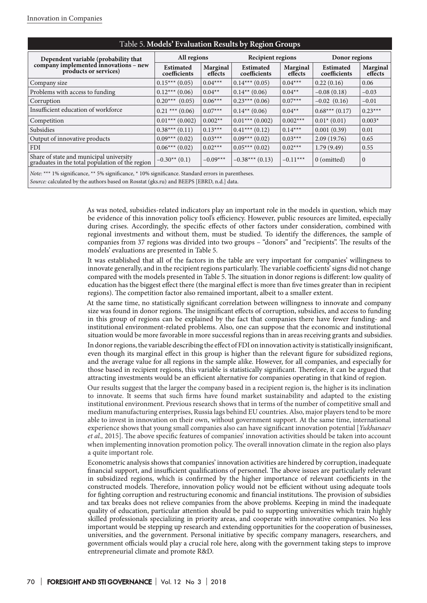| Table 5. Models Evaluation Results by Region Groups                                                |                           |                     |                                  |                            |                                  |                            |
|----------------------------------------------------------------------------------------------------|---------------------------|---------------------|----------------------------------|----------------------------|----------------------------------|----------------------------|
| Dependent variable (probability that                                                               | All regions               |                     | <b>Recipient regions</b>         |                            | Donor regions                    |                            |
| company implemented innovations - new<br>products or services)                                     | Estimated<br>coefficients | Marginal<br>effects | <b>Estimated</b><br>coefficients | <b>Marginal</b><br>effects | <b>Estimated</b><br>coefficients | <b>Marginal</b><br>effects |
| Company size                                                                                       | $0.15***(0.05)$           | $0.04***$           | $0.14***(0.05)$                  | $0.04***$                  | 0.22(0.16)                       | 0.06                       |
| Problems with access to funding                                                                    | $0.12***$ (0.06)          | $0.04**$            | $0.14**$ (0.06)                  | $0.04**$                   | $-0.08(0.18)$                    | $-0.03$                    |
| Corruption                                                                                         | $0.20***$ (0.05)          | $0.06***$           | $0.23***(0.06)$                  | $0.07***$                  | $-0.02$ $(0.16)$                 | $-0.01$                    |
| Insufficient education of workforce                                                                | $0.21$ *** $(0.06)$       | $0.07***$           | $0.14**$ (0.06)                  | $0.04**$                   | $0.68***(0.17)$                  | $0.23***$                  |
| Competition                                                                                        | $0.01***$ (0.002)         | $0.002**$           | $0.01***$ (0.002)                | $0.002***$                 | $0.01^* (0.01)$                  | $0.003*$                   |
| Subsidies                                                                                          | $0.38***(0.11)$           | $0.13***$           | $0.41***(0.12)$                  | $0.14***$                  | 0.001(0.39)                      | 0.01                       |
| Output of innovative products                                                                      | $0.09***(0.02)$           | $0.03***$           | $0.09***(0.02)$                  | $0.03***$                  | 2.09(19.76)                      | 0.65                       |
| <b>FDI</b>                                                                                         | $0.06***(0.02)$           | $0.02***$           | $0.05***(0.02)$                  | $0.02***$                  | 1.79(9.49)                       | 0.55                       |
| Share of state and municipal university<br>graduates in the total population of the region         | $-0.30**$ (0.1)           | $-0.09***$          | $-0.38***(0.13)$                 | $-0.11***$                 | $0$ (omitted)                    | $\mathbf{0}$               |
| Note: *** 1% significance, ** 5% significance, * 10% significance. Standard errors in parentheses. |                           |                     |                                  |                            |                                  |                            |

## Таble 5. **Models' Evaluation Results by Region Groups**

*Source:* calculated by the authors based on Rosstat (gks.ru) and BEEPS [EBRD, n.d.] data.

As was noted, subsidies-related indicators play an important role in the models in question, which may be evidence of this innovation policy tool's efficiency. However, public resources are limited, especially during crises. Accordingly, the specific effects of other factors under consideration, combined with regional investments and without them, must be studied. To identify the differences, the sample of companies from 37 regions was divided into two groups – "donors" and "recipients". The results of the models' evaluations are presented in Table 5.

It was established that all of the factors in the table are very important for companies' willingness to innovate generally, and in the recipient regions particularly. The variable coefficients' signs did not change compared with the models presented in Table 5. The situation in donor regions is different: low quality of education has the biggest effect there (the marginal effect is more than five times greater than in recipient regions). The competition factor also remained important, albeit to a smaller extent.

At the same time, no statistically significant correlation between willingness to innovate and company size was found in donor regions. The insignificant effects of corruption, subsidies, and access to funding in this group of regions can be explained by the fact that companies there have fewer funding- and institutional environment-related problems. Also, one can suppose that the economic and institutional situation would be more favorable in more successful regions than in areas receiving grants and subsidies.

In donor regions, the variable describing the effect of FDI on innovation activity is statistically insignificant, even though its marginal effect in this group is higher than the relevant figure for subsidized regions, and the average value for all regions in the sample alike. However, for all companies, and especially for those based in recipient regions, this variable is statistically significant. Therefore, it can be argued that attracting investments would be an efficient alternative for companies operating in that kind of region.

Our results suggest that the larger the company based in a recipient region is, the higher is its inclination to innovate. It seems that such firms have found market sustainability and adapted to the existing institutional environment. Previous research shows that in terms of the number of competitive small and medium manufacturing enterprises, Russia lags behind EU countries. Also, major players tend to be more able to invest in innovation on their own, without government support. At the same time, international experience shows that young small companies also can have significant innovation potential [*Yukhanaev et al.,* 2015]. The above specific features of companies' innovation activities should be taken into account when implementing innovation promotion policy. The overall innovation climate in the region also plays a quite important role.

Econometric analysis shows that companies' innovation activities are hindered by corruption, inadequate financial support, and insufficient qualifications of personnel. The above issues are particularly relevant in subsidized regions, which is confirmed by the higher importance of relevant coefficients in the constructed models. Therefore, innovation policy would not be efficient without using adequate tools for fighting corruption and restructuring economic and financial institutions. The provision of subsidies and tax breaks does not relieve companies from the above problems. Keeping in mind the inadequate quality of education, particular attention should be paid to supporting universities which train highly skilled professionals specializing in priority areas, and cooperate with innovative companies. No less important would be stepping up research and extending opportunities for the cooperation of businesses, universities, and the government. Personal initiative by specific company managers, researchers, and government officials would play a crucial role here, along with the government taking steps to improve entrepreneurial climate and promote R&D.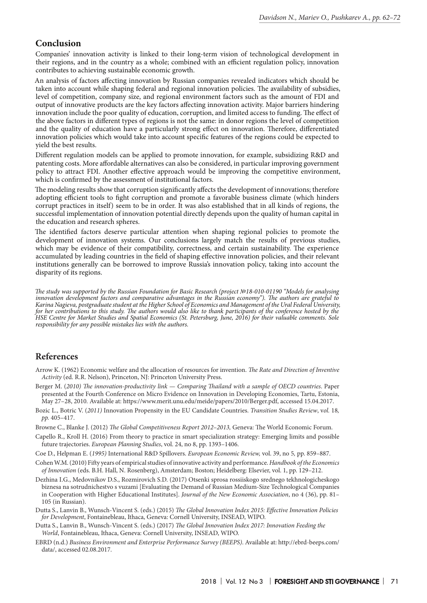# **Conclusion**

Companies' innovation activity is linked to their long-term vision of technological development in their regions, and in the country as a whole; combined with an efficient regulation policy, innovation contributes to achieving sustainable economic growth.

An analysis of factors affecting innovation by Russian companies revealed indicators which should be taken into account while shaping federal and regional innovation policies. The availability of subsidies, level of competition, company size, and regional environment factors such as the amount of FDI and output of innovative products are the key factors affecting innovation activity. Major barriers hindering innovation include the poor quality of education, corruption, and limited access to funding. The effect of the above factors in different types of regions is not the same: in donor regions the level of competition and the quality of education have a particularly strong effect on innovation. Therefore, differentiated innovation policies which would take into account specific features of the regions could be expected to yield the best results.

Different regulation models can be applied to promote innovation, for example, subsidizing R&D and patenting costs. More affordable alternatives can also be considered, in particular improving government policy to attract FDI. Another effective approach would be improving the competitive environment, which is confirmed by the assessment of institutional factors.

The modeling results show that corruption significantly affects the development of innovations; therefore adopting efficient tools to fight corruption and promote a favorable business climate (which hinders corrupt practices in itself) seem to be in order. It was also established that in all kinds of regions, the successful implementation of innovation potential directly depends upon the quality of human capital in the education and research spheres.

The identified factors deserve particular attention when shaping regional policies to promote the development of innovation systems. Our conclusions largely match the results of previous studies, which may be evidence of their compatibility, correctness, and certain sustainability. The experience accumulated by leading countries in the field of shaping effective innovation policies, and their relevant institutions generally can be borrowed to improve Russia's innovation policy, taking into account the disparity of its regions.

*The study was supported by the Russian Foundation for Basic Research (project №18-010-01190 "Models for analysing innovation development factors and comparative advantages in the Russian economy"). The authors are grateful to Karina Nagieva, postgraduate student at the Higher School of Economics and Management of the Ural Federal University,*  for her contributions to this study. The authors would also like to thank participants of the conference hosted by the *HSE Centre for Market Studies and Spatial Economics (St. Petersburg, June, 2016) for their valuable comments. Sole responsibility for any possible mistakes lies with the authors.*

# **References**

- Arrow K. (1962) Economic welfare and the allocation of resources for invention. *The Rate and Direction of Inventive Activity* (ed. R.R. Nelson), Princeton, NJ: Princeton University Press.
- Berger M. (*2010) The innovation-productivity link Сomparing Thailand with a sample of OECD countries*. Paper presented at the Fourth Conference on Micro Evidence on Innovation in Developing Economies, Tartu, Estonia, May 27–28, 2010*.* Available at: https://www.merit.unu.edu/meide/papers/2010/Berger.pdf, accessed 15.04.2017.
- Bozic L., Botric V. (*2011)* Innovation Propensity in the EU Candidate Countries. *Transition Studies Review*, v*ol.* 18*, pp.* 405–417.
- Browne C., Blanke J. (2012) *The Global Competitiveness Report 2012–2013,* Geneva: The World Economic Forum.
- Capello R., Kroll H. (2016) From theory to practice in smart specialization strategy: Emerging limits and possible future trajectories. *European Planning Studies*, vol. 24, no 8, pp. 1393–1406.
- Coe D., Helpman E. (*1995)* International R&D Spillovers. *European Economic Review,* vol. 39, no 5*,* pp. 859–887.
- Cohen W.M. (2010) Fifty years of empirical studies of innovative activity and performance. *Handbook of the Economics of Innovation* (eds. B.H. Hall, N. Rosenberg), Amsterdam; Boston; Heidelberg: Elsevier, vol. 1, pp. 129–212.
- Dezhina I.G., Medovnikov D.S., Rozmirovich S.D. (2017) Otsenki sprosa rossiiskogo srednego tekhnologicheskogo biznesa na sotrudnichestvo s vuzami [Evaluating the Demand of Russian Medium-Size Technological Companies in Cooperation with Higher Educational Institutes]. *Journal of the New Economic Association*, no 4 (36), pp. 81– 105 (in Russian).
- Dutta S., Lanvin B., Wunsch-Vincent S. (eds.) (2015) *The Global Innovation Index 2015: Effective Innovation Policies for Development*, Fontainebleau, Ithaca, Geneva: Cornell University, INSEAD, WIPO.
- Dutta S., Lanvin B., Wunsch-Vincent S. (eds.) (2017) *The Global Innovation Index 2017: Innovation Feeding the World*, Fontainebleau, Ithaca, Geneva: Cornell University, INSEAD, WIPO.
- EBRD (n.d.) *Business Environment and Enterprise Performance Survey (BEEPS)*. Available at: http://ebrd-beeps.com/ data/, accessed 02.08.2017.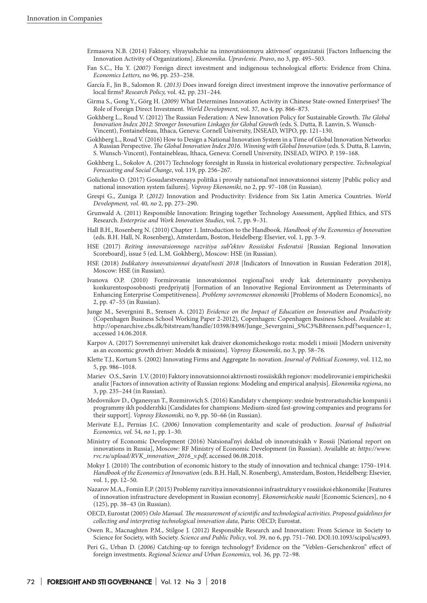- Ermasova N.B. (2014) Faktory, vliyayushchie na innovatsionnuyu aktivnost' organizatsii [Factors Influencing the Innovation Activity of Organizations]. *Ekonomika. Upravlenie. Pravo*, no 3, pp. 495–503.
- Fan S.C., Hu Y. (*2007)* Foreign direct investment and indigenous technological efforts: Evidence from China. *Economics Letters,* no 96*,* pp. 253–258.
- García F., Jin B., Salomon R. (*2013)* Does inward foreign direct investment improve the innovative performance of local firms? *Research Policy,* vol. 42*,* pp. 231–244.
- Girma S., Gong Y., Görg H. (*2009)* What Determines Innovation Activity in Chinese State-owned Enterprises? The Role of Foreign Direct Investment. *World Development, v*ol. 37*,* no 4*,* pp. 866–873.
- Gokhberg L., Roud V. (2012) The Russian Federation: A New Innovation Policy for Sustainable Growth. *The Global Innovation Index 2012: Stronger Innovation Linkages for Global Growth* (eds. S. Dutta, B. Lanvin, S. Wunsch-Vincent), Fontainebleau, Ithaca, Geneva: Cornell University, INSEAD, WIPO, pp. 121–130.
- Gokhberg L., Roud V. (2016) How to Design a National Innovation System in a Time of Global Innovation Networks: A Russian Perspective. *The Global Innovation Index 2016. Winning with Global Innovation* (eds. S. Dutta, B. Lanvin, S. Wunsch-Vincent), Fontainebleau, Ithaca, Geneva: Cornell University, INSEAD, WIPO. P. 159–168.
- Gokhberg L., Sokolov A. (2017) Technology foresight in Russia in historical evolutionary perspective. *Technological Forecasting and Social Change*, vol. 119, pp. 256–267.
- Golichenko O. (2017) Gosudarstvennaya politika i provaly natsional'noi innovatsionnoi sistemy [Public policy and national innovation system failures]. *Voprosy Ekonomiki*, no 2, pp. 97–108 (in Russian).
- Grespi G., Zuniga P. (*2012)* Innovation and Productivity: Evidence from Six Latin America Countries. *World Development, vol.* 40*, no* 2*,* pp. 273–290.
- Grunwald A. (2011) Responsible Innovation: Bringing together Technology Assessment, Applied Ethics, and STS Research. *Enterprise and Work Innovation Studies*, vol. 7, pp. 9–31.
- Hall B.H., Rosenberg N. (2010) Chapter 1. Introduction to the Handbook. *Handbook of the Economics of Innovation* (eds. B.H. Hall, N. Rosenberg), Amsterdam, Boston, Heidelberg: Elsevier, vol. 1, pp. 3–9.
- HSE (2017) *Reiting innovatsionnogo razvitiya sub"ektov Rossiiskoi Federatsii* [Russian Regional Innovation Scoreboard], issue 5 (ed. L.M. Gokhberg), Moscow: HSE (in Russian).
- HSE (2018) *Indikatory innovatsionnoi deyatel'nosti 2018* [Indicators of Innovation in Russian Federation 2018], Moscow: HSE (in Russian).
- Ivanova O.P. (2010) Formirovanie innovatsionnoi regional'noi sredy kak determinanty povysheniya konkurentosposobnosti predpriyatij [Formation of an Innovative Regional Environment as Determinants of Enhancing Enterprise Competitiveness]. *Problemy sovremennoi ekonomiki* [Problems of Modern Economics], no 2, pp. 47–55 (in Russian).
- Junge M., Severgnini B., Srensen A. (2012) *Evidence on the Impact of Education on Innovation and Productivity* (Copenhagen Business School Working Paper 2-2012)*,* Copenhagen: Copenhagen Business School. Available at: http://openarchive.cbs.dk/bitstream/handle/10398/8498/Junge\_Severgnini\_S%C3%B8rensen.pdf?sequence=1, accessed 14.06.2018.
- Karpov A. (2017) Sovremennyi universitet kak draiver ekonomicheskogo rosta: modeli i missii [Modern university as an economic growth driver: Models & missions]. *Voprosy Ekonomiki*, no 3, pp. 58–76.
- Klette T.J., Kortum S. (2002) Innovating Firms and Aggregate In-novation. *Journal of Political Economy*, vol. 112, no 5, pp. 986–1018.
- Mariev O.S., Savin I.V. (2010) Faktory innovatsionnoi aktivnosti rossiiskikh regionov: modelirovanie i empiricheskii analiz [Factors of innovation activity of Russian regions: Modeling and empirical analysis]. *Ekonomika regiona*, no 3, pp. 235–244 (in Russian).
- Medovnikov D., Oganesyan T., Rozmirovich S. (2016) Kandidaty v chempiony: srednie bystrorastushchie kompanii i programmy ikh podderzhki [Candidates for champions: Medium-sized fast-growing companies and programs for their support]. *Voprosy Ekonomiki,* no 9, pp. 50–66 (in Russian).
- Merivate E.J., Pernias J.C. (*2006)* Innovation complementarity and scale of production. *Journal of Industrial Economics, vol.* 54, *no* 1, pp. 1–30.
- Ministry of Economic Development (2016) Natsional'nyi doklad ob innovatsiyakh v Rossii [National report on innovations in Russia], Moscow: RF Ministry of Economic Development (in Russian). Available at: *https://www. rvc.ru/upload/RVK\_innovation\_2016\_v.pdf*, accessed 06.08.2018.
- Mokyr J. (2010) The contribution of economic history to the study of innovation and technical change: 1750–1914. *Handbook of the Economics of Innovation* (eds. B.H. Hall, N. Rosenberg), Amsterdam, Boston, Heidelberg: Elsevier, vol. 1, pp. 12–50.
- Nazarov M.A., Fomin E.P. (2015) Problemy razvitiya innovatsionnoi infrastruktury v rossiiskoi ehkonomike [Features of innovation infrastructure development in Russian economy]. *Ekonomicheskie nauki* [Economic Sciences], no 4 (125), pp. 38–43 (in Russian).
- OECD, Eurostat (2005) *Oslo Manual. The measurement of scientific and technological activities. Proposed guidelines for collecting and interpreting technological innovation data*, Paris: OECD; Eurostat.
- Owen R., Macnaghten P.M., Stilgoe J. (2012) Responsible Research and Innovation: From Science in Society to Science for Society, with Society. *Science and Public Policy*, vol. 39, no 6, pp. 751–760. DOI:10.1093/scipol/scs093.
- Peri G., Urban D. (*2006)* Catching-up to foreign technology? Evidence on the "Veblen–Gerschenkron" effect of foreign investments. *Regional Science and Urban Economics,* vol. 36*,* pp. 72–98.